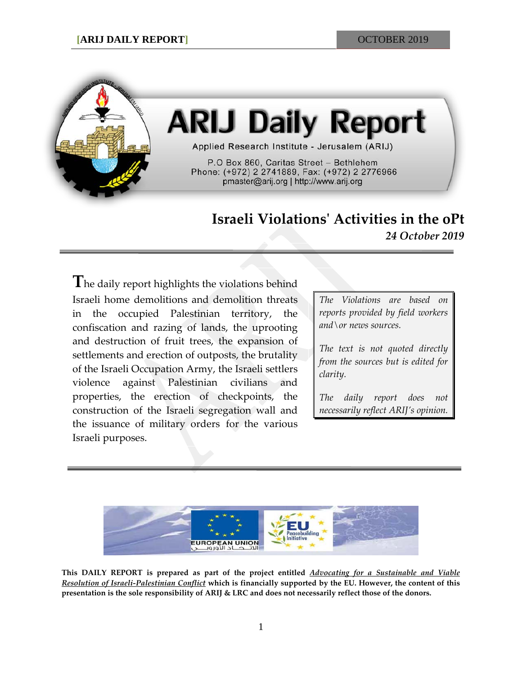

# **ARIJ Daily Report**

Applied Research Institute - Jerusalem (ARIJ)

P.O Box 860, Caritas Street - Bethlehem Phone: (+972) 2 2741889, Fax: (+972) 2 2776966 pmaster@arij.org | http://www.arij.org

## **Israeli Violations' Activities in the oPt** *24 October 2019*

The daily report highlights the violations behind Israeli home demolitions and demolition threats in the occupied Palestinian territory, the confiscation and razing of lands, the uprooting and destruction of fruit trees, the expansion of settlements and erection of outposts, the brutality of the Israeli Occupation Army, the Israeli settlers violence against Palestinian civilians and properties, the erection of checkpoints, the construction of the Israeli segregation wall and the issuance of military orders for the various Israeli purposes.

*The Violations are based on reports provided by field workers and\or news sources.*

*The text is not quoted directly from the sources but is edited for clarity.*

*The daily report does not necessarily reflect ARIJ's opinion.*



**This DAILY REPORT is prepared as part of the project entitled** *Advocating for a Sustainable and Viable Resolution of Israeli-Palestinian Conflict* **which is financially supported by the EU. However, the content of this presentation is the sole responsibility of ARIJ & LRC and does not necessarily reflect those of the donors.**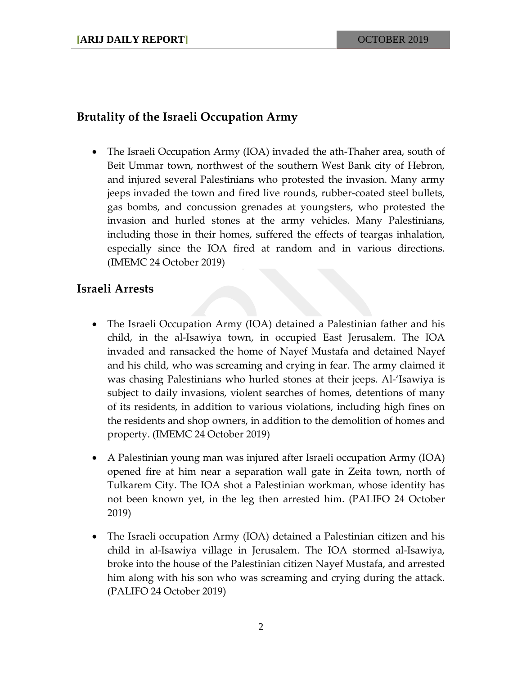### **Brutality of the Israeli Occupation Army**

• The Israeli Occupation Army (IOA) invaded the ath-Thaher area, south of Beit Ummar town, northwest of the southern West Bank city of Hebron, and injured several Palestinians who protested the invasion. Many army jeeps invaded the town and fired live rounds, rubber-coated steel bullets, gas bombs, and concussion grenades at youngsters, who protested the invasion and hurled stones at the army vehicles. Many Palestinians, including those in their homes, suffered the effects of teargas inhalation, especially since the IOA fired at random and in various directions. (IMEMC 24 October 2019)

#### **Israeli Arrests**

- The Israeli Occupation Army (IOA) detained a Palestinian father and his child, in the al-Isawiya town, in occupied East Jerusalem. The IOA invaded and ransacked the home of Nayef Mustafa and detained Nayef and his child, who was screaming and crying in fear. The army claimed it was chasing Palestinians who hurled stones at their jeeps. Al-'Isawiya is subject to daily invasions, violent searches of homes, detentions of many of its residents, in addition to various violations, including high fines on the residents and shop owners, in addition to the demolition of homes and property. (IMEMC 24 October 2019)
- A Palestinian young man was injured after Israeli occupation Army (IOA) opened fire at him near a separation wall gate in Zeita town, north of Tulkarem City. The IOA shot a Palestinian workman, whose identity has not been known yet, in the leg then arrested him. (PALIFO 24 October 2019)
- The Israeli occupation Army (IOA) detained a Palestinian citizen and his child in al-Isawiya village in Jerusalem. The IOA stormed al-Isawiya, broke into the house of the Palestinian citizen Nayef Mustafa, and arrested him along with his son who was screaming and crying during the attack. (PALIFO 24 October 2019)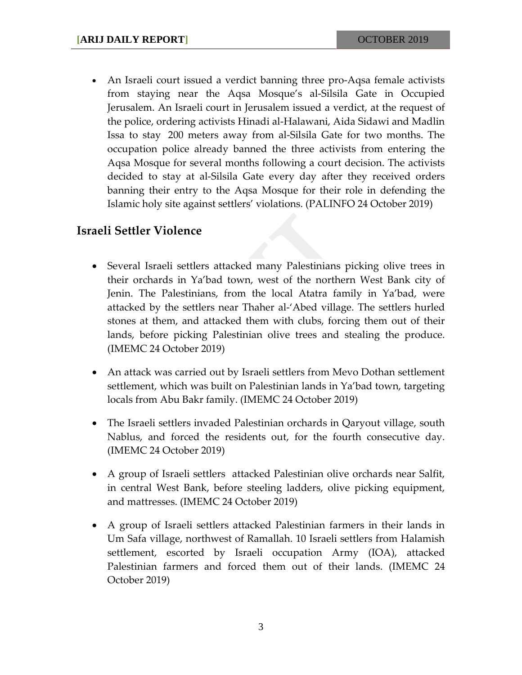• An Israeli court issued a verdict banning three pro-Aqsa female activists from staying near the Aqsa Mosque's al-Silsila Gate in Occupied Jerusalem. An Israeli court in Jerusalem issued a verdict, at the request of the police, ordering activists Hinadi al-Halawani, Aida Sidawi and Madlin Issa to stay 200 meters away from al-Silsila Gate for two months. The occupation police already banned the three activists from entering the Aqsa Mosque for several months following a court decision. The activists decided to stay at al-Silsila Gate every day after they received orders banning their entry to the Aqsa Mosque for their role in defending the Islamic holy site against settlers' violations. (PALINFO 24 October 2019)

#### **Israeli Settler Violence**

- Several Israeli settlers attacked many Palestinians picking olive trees in their orchards in Ya'bad town, west of the northern West Bank city of Jenin. The Palestinians, from the local Atatra family in Ya'bad, were attacked by the settlers near Thaher al-'Abed village. The settlers hurled stones at them, and attacked them with clubs, forcing them out of their lands, before picking Palestinian olive trees and stealing the produce. (IMEMC 24 October 2019)
- An attack was carried out by Israeli settlers from Mevo Dothan settlement settlement, which was built on Palestinian lands in Ya'bad town, targeting locals from Abu Bakr family. (IMEMC 24 October 2019)
- The Israeli settlers invaded Palestinian orchards in Qaryout village, south Nablus, and forced the residents out, for the fourth consecutive day. (IMEMC 24 October 2019)
- A group of Israeli settlers attacked Palestinian olive orchards near Salfit, in central West Bank, before steeling ladders, olive picking equipment, and mattresses. (IMEMC 24 October 2019)
- A group of Israeli settlers attacked Palestinian farmers in their lands in Um Safa village, northwest of Ramallah. 10 Israeli settlers from Halamish settlement, escorted by Israeli occupation Army (IOA), attacked Palestinian farmers and forced them out of their lands. (IMEMC 24 October 2019)